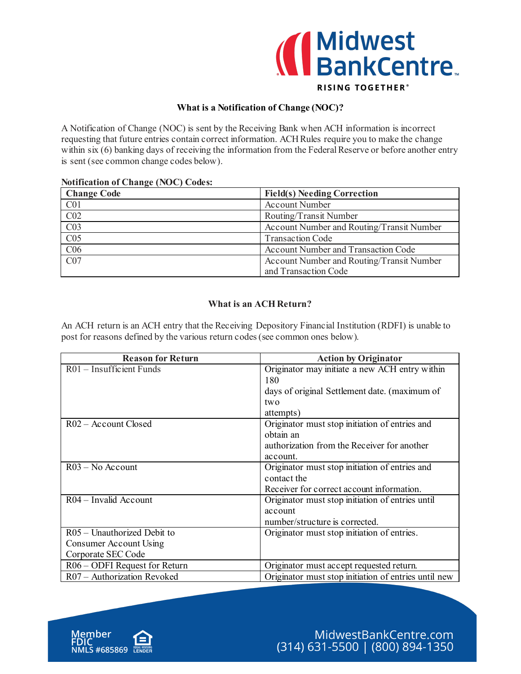

## **What is a Notification of Change (NOC)?**

A Notification of Change (NOC) is sent by the Receiving Bank when ACH information is incorrect requesting that future entries contain correct information. ACH Rules require you to make the change within six (6) banking days of receiving the information from the Federal Reserve or before another entry is sent (see common change codes below).

## **Notification of Change (NOC) Codes:**

| <b>Change Code</b> | <b>Field(s) Needing Correction</b>         |
|--------------------|--------------------------------------------|
| C <sub>01</sub>    | <b>Account Number</b>                      |
| C <sub>02</sub>    | Routing/Transit Number                     |
| CO <sub>3</sub>    | Account Number and Routing/Transit Number  |
| CO <sub>5</sub>    | <b>Transaction Code</b>                    |
| C <sub>06</sub>    | <b>Account Number and Transaction Code</b> |
| CO7                | Account Number and Routing/Transit Number  |
|                    | and Transaction Code                       |

## **What is an ACH Return?**

An ACH return is an ACH entry that the Receiving Depository Financial Institution (RDFI) is unable to post for reasons defined by the various return codes (see common ones below).

| <b>Reason for Return</b>      | <b>Action by Originator</b>                          |
|-------------------------------|------------------------------------------------------|
| $R01$ – Insufficient Funds    | Originator may initiate a new ACH entry within       |
|                               | 180                                                  |
|                               | days of original Settlement date. (maximum of        |
|                               | two                                                  |
|                               | attempts)                                            |
| $R02 -$ Account Closed        | Originator must stop initiation of entries and       |
|                               | obtain an                                            |
|                               | authorization from the Receiver for another          |
|                               | account.                                             |
| $R03 - No$ Account            | Originator must stop initiation of entries and       |
|                               | contact the                                          |
|                               | Receiver for correct account information.            |
| $R04 - Invalid$ Account       | Originator must stop initiation of entries until     |
|                               | account                                              |
|                               | number/structure is corrected.                       |
| $R05 -$ Unauthorized Debit to | Originator must stop initiation of entries.          |
| Consumer Account Using        |                                                      |
| Corporate SEC Code            |                                                      |
| R06 – ODFI Request for Return | Originator must accept requested return.             |
| R07 - Authorization Revoked   | Originator must stop initiation of entries until new |